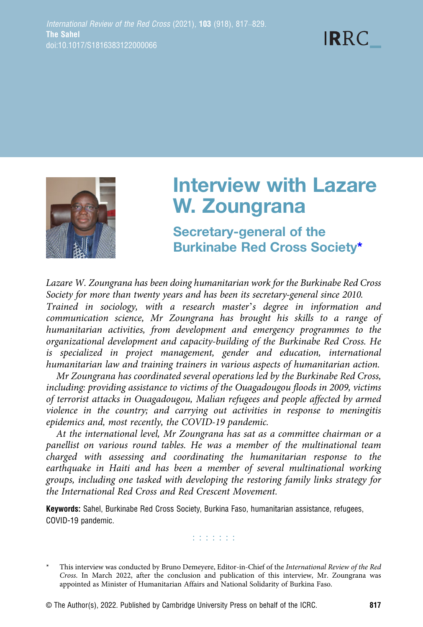



# Interview with Lazare W. Zoungrana

Secretary-general of the Burkinabe Red Cross Society\*

Lazare W. Zoungrana has been doing humanitarian work for the Burkinabe Red Cross Society for more than twenty years and has been its secretary-general since 2010.

Trained in sociology, with a research master's degree in information and communication science, Mr Zoungrana has brought his skills to a range of humanitarian activities, from development and emergency programmes to the organizational development and capacity-building of the Burkinabe Red Cross. He is specialized in project management, gender and education, international humanitarian law and training trainers in various aspects of humanitarian action.

Mr Zoungrana has coordinated several operations led by the Burkinabe Red Cross, including: providing assistance to victims of the Ouagadougou floods in 2009, victims of terrorist attacks in Ouagadougou, Malian refugees and people affected by armed violence in the country; and carrying out activities in response to meningitis epidemics and, most recently, the COVID-19 pandemic.

At the international level, Mr Zoungrana has sat as a committee chairman or a panellist on various round tables. He was a member of the multinational team charged with assessing and coordinating the humanitarian response to the earthquake in Haiti and has been a member of several multinational working groups, including one tasked with developing the restoring family links strategy for the International Red Cross and Red Crescent Movement.

Keywords: Sahel, Burkinabe Red Cross Society, Burkina Faso, humanitarian assistance, refugees, COVID-19 pandemic.

n na na na

© The Author(s), 2022. Published by Cambridge University Press on behalf of the ICRC. 817

This interview was conducted by Bruno Demeyere, Editor-in-Chief of the International Review of the Red Cross. In March 2022, after the conclusion and publication of this interview, Mr. Zoungrana was appointed as Minister of Humanitarian Affairs and National Solidarity of Burkina Faso.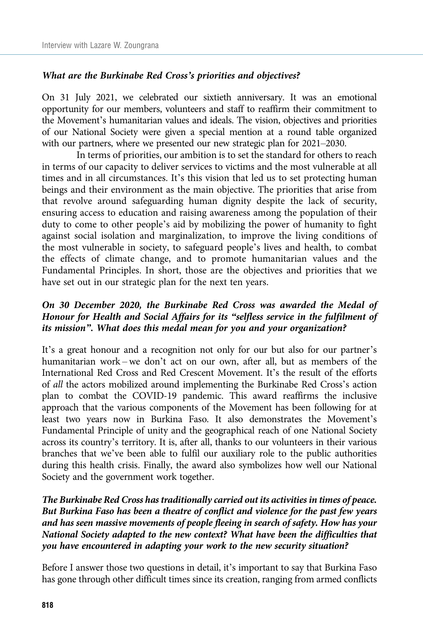#### What are the Burkinabe Red Cross's priorities and objectives?

On 31 July 2021, we celebrated our sixtieth anniversary. It was an emotional opportunity for our members, volunteers and staff to reaffirm their commitment to the Movement's humanitarian values and ideals. The vision, objectives and priorities of our National Society were given a special mention at a round table organized with our partners, where we presented our new strategic plan for 2021–2030.

In terms of priorities, our ambition is to set the standard for others to reach in terms of our capacity to deliver services to victims and the most vulnerable at all times and in all circumstances. It's this vision that led us to set protecting human beings and their environment as the main objective. The priorities that arise from that revolve around safeguarding human dignity despite the lack of security, ensuring access to education and raising awareness among the population of their duty to come to other people's aid by mobilizing the power of humanity to fight against social isolation and marginalization, to improve the living conditions of the most vulnerable in society, to safeguard people's lives and health, to combat the effects of climate change, and to promote humanitarian values and the Fundamental Principles. In short, those are the objectives and priorities that we have set out in our strategic plan for the next ten years.

# On 30 December 2020, the Burkinabe Red Cross was awarded the Medal of Honour for Health and Social Affairs for its "selfless service in the fulfilment of its mission". What does this medal mean for you and your organization?

It's a great honour and a recognition not only for our but also for our partner's humanitarian work – we don't act on our own, after all, but as members of the International Red Cross and Red Crescent Movement. It's the result of the efforts of all the actors mobilized around implementing the Burkinabe Red Cross's action plan to combat the COVID-19 pandemic. This award reaffirms the inclusive approach that the various components of the Movement has been following for at least two years now in Burkina Faso. It also demonstrates the Movement's Fundamental Principle of unity and the geographical reach of one National Society across its country's territory. It is, after all, thanks to our volunteers in their various branches that we've been able to fulfil our auxiliary role to the public authorities during this health crisis. Finally, the award also symbolizes how well our National Society and the government work together.

# The Burkinabe Red Cross has traditionally carried out its activities in times of peace. But Burkina Faso has been a theatre of conflict and violence for the past few years and has seen massive movements of people fleeing in search of safety. How has your National Society adapted to the new context? What have been the difficulties that you have encountered in adapting your work to the new security situation?

Before I answer those two questions in detail, it's important to say that Burkina Faso has gone through other difficult times since its creation, ranging from armed conflicts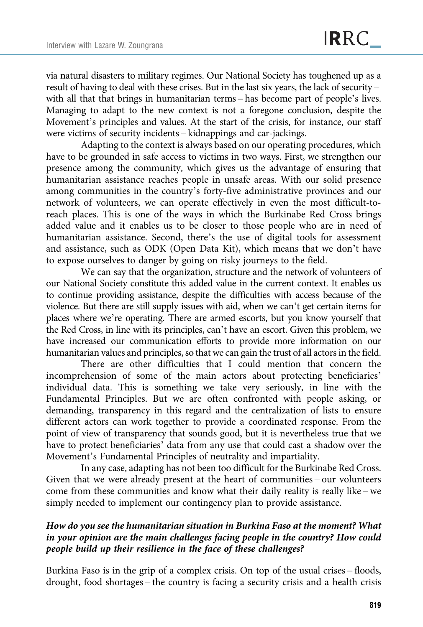via natural disasters to military regimes. Our National Society has toughened up as a result of having to deal with these crises. But in the last six years, the lack of security – with all that that brings in humanitarian terms – has become part of people's lives. Managing to adapt to the new context is not a foregone conclusion, despite the Movement's principles and values. At the start of the crisis, for instance, our staff were victims of security incidents – kidnappings and car-jackings.

Adapting to the context is always based on our operating procedures, which have to be grounded in safe access to victims in two ways. First, we strengthen our presence among the community, which gives us the advantage of ensuring that humanitarian assistance reaches people in unsafe areas. With our solid presence among communities in the country's forty-five administrative provinces and our network of volunteers, we can operate effectively in even the most difficult-toreach places. This is one of the ways in which the Burkinabe Red Cross brings added value and it enables us to be closer to those people who are in need of humanitarian assistance. Second, there's the use of digital tools for assessment and assistance, such as ODK (Open Data Kit), which means that we don't have to expose ourselves to danger by going on risky journeys to the field.

We can say that the organization, structure and the network of volunteers of our National Society constitute this added value in the current context. It enables us to continue providing assistance, despite the difficulties with access because of the violence. But there are still supply issues with aid, when we can't get certain items for places where we're operating. There are armed escorts, but you know yourself that the Red Cross, in line with its principles, can't have an escort. Given this problem, we have increased our communication efforts to provide more information on our humanitarian values and principles, so that we can gain the trust of all actors in the field.

There are other difficulties that I could mention that concern the incomprehension of some of the main actors about protecting beneficiaries' individual data. This is something we take very seriously, in line with the Fundamental Principles. But we are often confronted with people asking, or demanding, transparency in this regard and the centralization of lists to ensure different actors can work together to provide a coordinated response. From the point of view of transparency that sounds good, but it is nevertheless true that we have to protect beneficiaries' data from any use that could cast a shadow over the Movement's Fundamental Principles of neutrality and impartiality.

In any case, adapting has not been too difficult for the Burkinabe Red Cross. Given that we were already present at the heart of communities – our volunteers come from these communities and know what their daily reality is really like – we simply needed to implement our contingency plan to provide assistance.

# How do you see the humanitarian situation in Burkina Faso at the moment? What in your opinion are the main challenges facing people in the country? How could people build up their resilience in the face of these challenges?

Burkina Faso is in the grip of a complex crisis. On top of the usual crises – floods, drought, food shortages – the country is facing a security crisis and a health crisis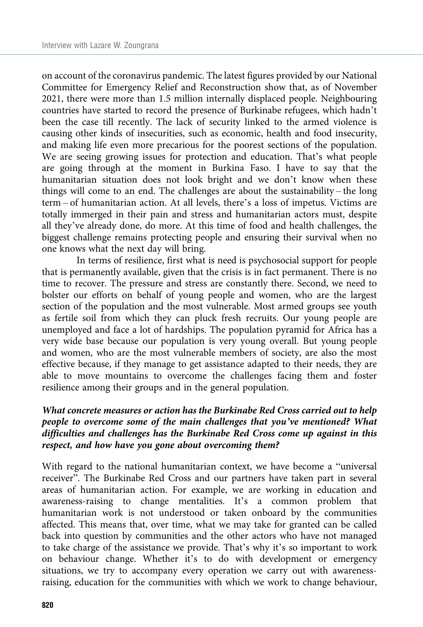on account of the coronavirus pandemic. The latest figures provided by our National Committee for Emergency Relief and Reconstruction show that, as of November 2021, there were more than 1.5 million internally displaced people. Neighbouring countries have started to record the presence of Burkinabe refugees, which hadn't been the case till recently. The lack of security linked to the armed violence is causing other kinds of insecurities, such as economic, health and food insecurity, and making life even more precarious for the poorest sections of the population. We are seeing growing issues for protection and education. That's what people are going through at the moment in Burkina Faso. I have to say that the humanitarian situation does not look bright and we don't know when these things will come to an end. The challenges are about the sustainability – the long term – of humanitarian action. At all levels, there's a loss of impetus. Victims are totally immerged in their pain and stress and humanitarian actors must, despite all they've already done, do more. At this time of food and health challenges, the biggest challenge remains protecting people and ensuring their survival when no one knows what the next day will bring.

In terms of resilience, first what is need is psychosocial support for people that is permanently available, given that the crisis is in fact permanent. There is no time to recover. The pressure and stress are constantly there. Second, we need to bolster our efforts on behalf of young people and women, who are the largest section of the population and the most vulnerable. Most armed groups see youth as fertile soil from which they can pluck fresh recruits. Our young people are unemployed and face a lot of hardships. The population pyramid for Africa has a very wide base because our population is very young overall. But young people and women, who are the most vulnerable members of society, are also the most effective because, if they manage to get assistance adapted to their needs, they are able to move mountains to overcome the challenges facing them and foster resilience among their groups and in the general population.

# What concrete measures or action has the Burkinabe Red Cross carried out to help people to overcome some of the main challenges that you've mentioned? What difficulties and challenges has the Burkinabe Red Cross come up against in this respect, and how have you gone about overcoming them?

With regard to the national humanitarian context, we have become a "universal receiver". The Burkinabe Red Cross and our partners have taken part in several areas of humanitarian action. For example, we are working in education and awareness-raising to change mentalities. It's a common problem that humanitarian work is not understood or taken onboard by the communities affected. This means that, over time, what we may take for granted can be called back into question by communities and the other actors who have not managed to take charge of the assistance we provide. That's why it's so important to work on behaviour change. Whether it's to do with development or emergency situations, we try to accompany every operation we carry out with awarenessraising, education for the communities with which we work to change behaviour,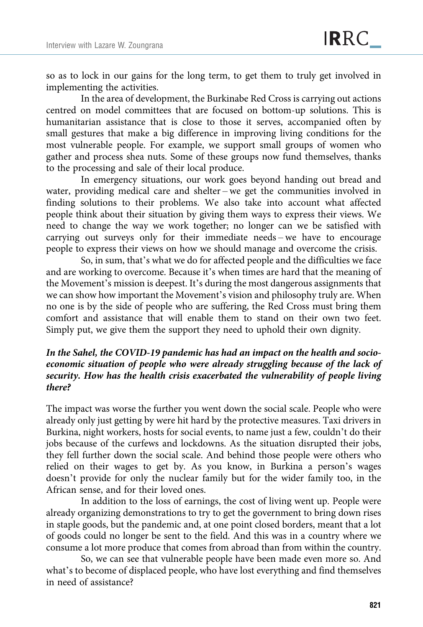so as to lock in our gains for the long term, to get them to truly get involved in implementing the activities.

In the area of development, the Burkinabe Red Cross is carrying out actions centred on model committees that are focused on bottom-up solutions. This is humanitarian assistance that is close to those it serves, accompanied often by small gestures that make a big difference in improving living conditions for the most vulnerable people. For example, we support small groups of women who gather and process shea nuts. Some of these groups now fund themselves, thanks to the processing and sale of their local produce.

In emergency situations, our work goes beyond handing out bread and water, providing medical care and shelter – we get the communities involved in finding solutions to their problems. We also take into account what affected people think about their situation by giving them ways to express their views. We need to change the way we work together; no longer can we be satisfied with carrying out surveys only for their immediate needs – we have to encourage people to express their views on how we should manage and overcome the crisis.

So, in sum, that's what we do for affected people and the difficulties we face and are working to overcome. Because it's when times are hard that the meaning of the Movement's mission is deepest. It's during the most dangerous assignments that we can show how important the Movement's vision and philosophy truly are. When no one is by the side of people who are suffering, the Red Cross must bring them comfort and assistance that will enable them to stand on their own two feet. Simply put, we give them the support they need to uphold their own dignity.

# In the Sahel, the COVID-19 pandemic has had an impact on the health and socioeconomic situation of people who were already struggling because of the lack of security. How has the health crisis exacerbated the vulnerability of people living there?

The impact was worse the further you went down the social scale. People who were already only just getting by were hit hard by the protective measures. Taxi drivers in Burkina, night workers, hosts for social events, to name just a few, couldn't do their jobs because of the curfews and lockdowns. As the situation disrupted their jobs, they fell further down the social scale. And behind those people were others who relied on their wages to get by. As you know, in Burkina a person's wages doesn't provide for only the nuclear family but for the wider family too, in the African sense, and for their loved ones.

In addition to the loss of earnings, the cost of living went up. People were already organizing demonstrations to try to get the government to bring down rises in staple goods, but the pandemic and, at one point closed borders, meant that a lot of goods could no longer be sent to the field. And this was in a country where we consume a lot more produce that comes from abroad than from within the country.

So, we can see that vulnerable people have been made even more so. And what's to become of displaced people, who have lost everything and find themselves in need of assistance?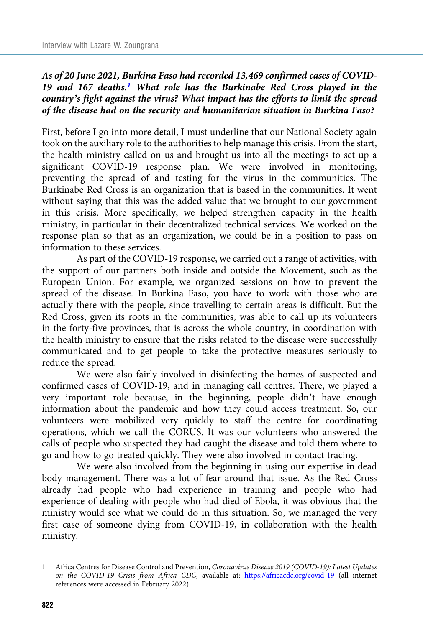As of 20 June 2021, Burkina Faso had recorded 13,469 confirmed cases of COVID-19 and 167 deaths.<sup>1</sup> What role has the Burkinabe Red Cross played in the country's fight against the virus? What impact has the efforts to limit the spread of the disease had on the security and humanitarian situation in Burkina Faso?

First, before I go into more detail, I must underline that our National Society again took on the auxiliary role to the authorities to help manage this crisis. From the start, the health ministry called on us and brought us into all the meetings to set up a significant COVID-19 response plan. We were involved in monitoring, preventing the spread of and testing for the virus in the communities. The Burkinabe Red Cross is an organization that is based in the communities. It went without saying that this was the added value that we brought to our government in this crisis. More specifically, we helped strengthen capacity in the health ministry, in particular in their decentralized technical services. We worked on the response plan so that as an organization, we could be in a position to pass on information to these services.

As part of the COVID-19 response, we carried out a range of activities, with the support of our partners both inside and outside the Movement, such as the European Union. For example, we organized sessions on how to prevent the spread of the disease. In Burkina Faso, you have to work with those who are actually there with the people, since travelling to certain areas is difficult. But the Red Cross, given its roots in the communities, was able to call up its volunteers in the forty-five provinces, that is across the whole country, in coordination with the health ministry to ensure that the risks related to the disease were successfully communicated and to get people to take the protective measures seriously to reduce the spread.

We were also fairly involved in disinfecting the homes of suspected and confirmed cases of COVID-19, and in managing call centres. There, we played a very important role because, in the beginning, people didn't have enough information about the pandemic and how they could access treatment. So, our volunteers were mobilized very quickly to staff the centre for coordinating operations, which we call the CORUS. It was our volunteers who answered the calls of people who suspected they had caught the disease and told them where to go and how to go treated quickly. They were also involved in contact tracing.

We were also involved from the beginning in using our expertise in dead body management. There was a lot of fear around that issue. As the Red Cross already had people who had experience in training and people who had experience of dealing with people who had died of Ebola, it was obvious that the ministry would see what we could do in this situation. So, we managed the very first case of someone dying from COVID-19, in collaboration with the health ministry.

<sup>1</sup> Africa Centres for Disease Control and Prevention, Coronavirus Disease 2019 (COVID-19): Latest Updates on the COVID-19 Crisis from Africa CDC, available at: <https://africacdc.org/covid-19> (all internet references were accessed in February 2022).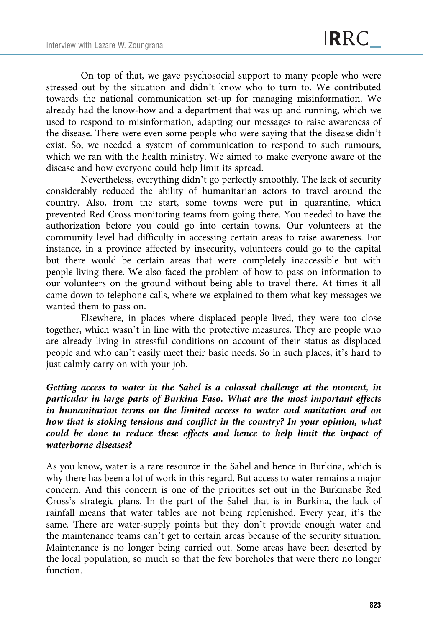On top of that, we gave psychosocial support to many people who were stressed out by the situation and didn't know who to turn to. We contributed towards the national communication set-up for managing misinformation. We already had the know-how and a department that was up and running, which we used to respond to misinformation, adapting our messages to raise awareness of the disease. There were even some people who were saying that the disease didn't exist. So, we needed a system of communication to respond to such rumours, which we ran with the health ministry. We aimed to make everyone aware of the disease and how everyone could help limit its spread.

Nevertheless, everything didn't go perfectly smoothly. The lack of security considerably reduced the ability of humanitarian actors to travel around the country. Also, from the start, some towns were put in quarantine, which prevented Red Cross monitoring teams from going there. You needed to have the authorization before you could go into certain towns. Our volunteers at the community level had difficulty in accessing certain areas to raise awareness. For instance, in a province affected by insecurity, volunteers could go to the capital but there would be certain areas that were completely inaccessible but with people living there. We also faced the problem of how to pass on information to our volunteers on the ground without being able to travel there. At times it all came down to telephone calls, where we explained to them what key messages we wanted them to pass on.

Elsewhere, in places where displaced people lived, they were too close together, which wasn't in line with the protective measures. They are people who are already living in stressful conditions on account of their status as displaced people and who can't easily meet their basic needs. So in such places, it's hard to just calmly carry on with your job.

Getting access to water in the Sahel is a colossal challenge at the moment, in particular in large parts of Burkina Faso. What are the most important effects in humanitarian terms on the limited access to water and sanitation and on how that is stoking tensions and conflict in the country? In your opinion, what could be done to reduce these effects and hence to help limit the impact of waterborne diseases?

As you know, water is a rare resource in the Sahel and hence in Burkina, which is why there has been a lot of work in this regard. But access to water remains a major concern. And this concern is one of the priorities set out in the Burkinabe Red Cross's strategic plans. In the part of the Sahel that is in Burkina, the lack of rainfall means that water tables are not being replenished. Every year, it's the same. There are water-supply points but they don't provide enough water and the maintenance teams can't get to certain areas because of the security situation. Maintenance is no longer being carried out. Some areas have been deserted by the local population, so much so that the few boreholes that were there no longer function.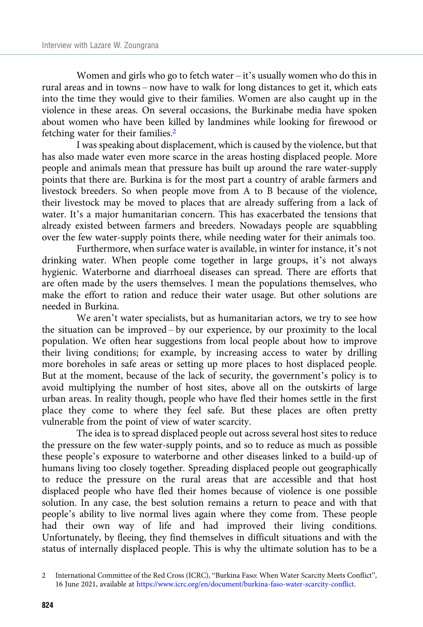Women and girls who go to fetch water – it's usually women who do this in rural areas and in towns – now have to walk for long distances to get it, which eats into the time they would give to their families. Women are also caught up in the violence in these areas. On several occasions, the Burkinabe media have spoken about women who have been killed by landmines while looking for firewood or fetching water for their families.2

I was speaking about displacement, which is caused by the violence, but that has also made water even more scarce in the areas hosting displaced people. More people and animals mean that pressure has built up around the rare water-supply points that there are. Burkina is for the most part a country of arable farmers and livestock breeders. So when people move from A to B because of the violence, their livestock may be moved to places that are already suffering from a lack of water. It's a major humanitarian concern. This has exacerbated the tensions that already existed between farmers and breeders. Nowadays people are squabbling over the few water-supply points there, while needing water for their animals too.

Furthermore, when surface water is available, in winter for instance, it's not drinking water. When people come together in large groups, it's not always hygienic. Waterborne and diarrhoeal diseases can spread. There are efforts that are often made by the users themselves. I mean the populations themselves, who make the effort to ration and reduce their water usage. But other solutions are needed in Burkina.

We aren't water specialists, but as humanitarian actors, we try to see how the situation can be improved – by our experience, by our proximity to the local population. We often hear suggestions from local people about how to improve their living conditions; for example, by increasing access to water by drilling more boreholes in safe areas or setting up more places to host displaced people. But at the moment, because of the lack of security, the government's policy is to avoid multiplying the number of host sites, above all on the outskirts of large urban areas. In reality though, people who have fled their homes settle in the first place they come to where they feel safe. But these places are often pretty vulnerable from the point of view of water scarcity.

The idea is to spread displaced people out across several host sites to reduce the pressure on the few water-supply points, and so to reduce as much as possible these people's exposure to waterborne and other diseases linked to a build-up of humans living too closely together. Spreading displaced people out geographically to reduce the pressure on the rural areas that are accessible and that host displaced people who have fled their homes because of violence is one possible solution. In any case, the best solution remains a return to peace and with that people's ability to live normal lives again where they come from. These people had their own way of life and had improved their living conditions. Unfortunately, by fleeing, they find themselves in difficult situations and with the status of internally displaced people. This is why the ultimate solution has to be a

<sup>2</sup> International Committee of the Red Cross (ICRC), "Burkina Faso: When Water Scarcity Meets Conflict", 16 June 2021, available at [https://www.icrc.org/en/document/burkina-faso-water-scarcity-conflict.](https://www.icrc.org/en/document/burkina-faso-water-scarcity-conflict)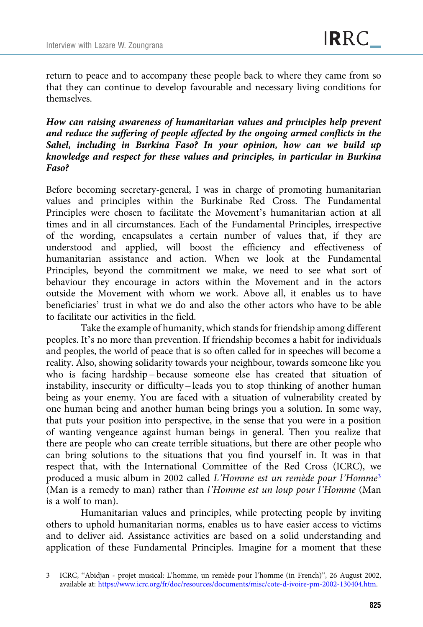return to peace and to accompany these people back to where they came from so that they can continue to develop favourable and necessary living conditions for themselves.

How can raising awareness of humanitarian values and principles help prevent and reduce the suffering of people affected by the ongoing armed conflicts in the Sahel, including in Burkina Faso? In your opinion, how can we build up knowledge and respect for these values and principles, in particular in Burkina Faso?

Before becoming secretary-general, I was in charge of promoting humanitarian values and principles within the Burkinabe Red Cross. The Fundamental Principles were chosen to facilitate the Movement's humanitarian action at all times and in all circumstances. Each of the Fundamental Principles, irrespective of the wording, encapsulates a certain number of values that, if they are understood and applied, will boost the efficiency and effectiveness of humanitarian assistance and action. When we look at the Fundamental Principles, beyond the commitment we make, we need to see what sort of behaviour they encourage in actors within the Movement and in the actors outside the Movement with whom we work. Above all, it enables us to have beneficiaries' trust in what we do and also the other actors who have to be able to facilitate our activities in the field.

Take the example of humanity, which stands for friendship among different peoples. It's no more than prevention. If friendship becomes a habit for individuals and peoples, the world of peace that is so often called for in speeches will become a reality. Also, showing solidarity towards your neighbour, towards someone like you who is facing hardship – because someone else has created that situation of instability, insecurity or difficulty – leads you to stop thinking of another human being as your enemy. You are faced with a situation of vulnerability created by one human being and another human being brings you a solution. In some way, that puts your position into perspective, in the sense that you were in a position of wanting vengeance against human beings in general. Then you realize that there are people who can create terrible situations, but there are other people who can bring solutions to the situations that you find yourself in. It was in that respect that, with the International Committee of the Red Cross (ICRC), we produced a music album in 2002 called L'Homme est un remède pour l'Homme<sup>3</sup> (Man is a remedy to man) rather than l'Homme est un loup pour l'Homme (Man is a wolf to man).

Humanitarian values and principles, while protecting people by inviting others to uphold humanitarian norms, enables us to have easier access to victims and to deliver aid. Assistance activities are based on a solid understanding and application of these Fundamental Principles. Imagine for a moment that these

<sup>3</sup> ICRC, "Abidjan - projet musical: L'homme, un remède pour l'homme (in French)", 26 August 2002, available at: [https://www.icrc.org/fr/doc/resources/documents/misc/cote-d-ivoire-pm-2002-130404.htm.](https://www.icrc.org/fr/doc/resources/documents/misc/cote-d-ivoire-pm-2002-130404.htm)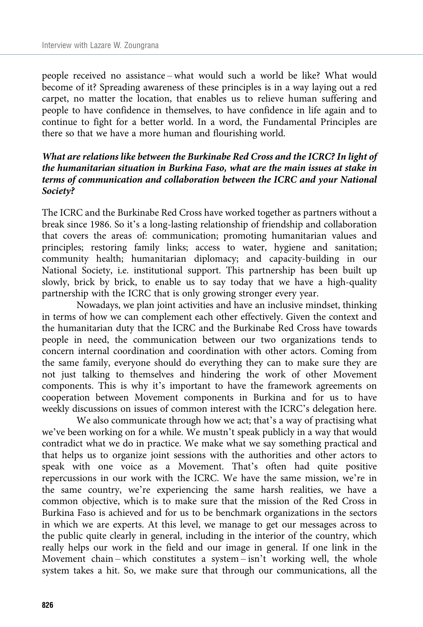people received no assistance – what would such a world be like? What would become of it? Spreading awareness of these principles is in a way laying out a red carpet, no matter the location, that enables us to relieve human suffering and people to have confidence in themselves, to have confidence in life again and to continue to fight for a better world. In a word, the Fundamental Principles are there so that we have a more human and flourishing world.

#### What are relations like between the Burkinabe Red Cross and the ICRC? In light of the humanitarian situation in Burkina Faso, what are the main issues at stake in terms of communication and collaboration between the ICRC and your National Society?

The ICRC and the Burkinabe Red Cross have worked together as partners without a break since 1986. So it's a long-lasting relationship of friendship and collaboration that covers the areas of: communication; promoting humanitarian values and principles; restoring family links; access to water, hygiene and sanitation; community health; humanitarian diplomacy; and capacity-building in our National Society, i.e. institutional support. This partnership has been built up slowly, brick by brick, to enable us to say today that we have a high-quality partnership with the ICRC that is only growing stronger every year.

Nowadays, we plan joint activities and have an inclusive mindset, thinking in terms of how we can complement each other effectively. Given the context and the humanitarian duty that the ICRC and the Burkinabe Red Cross have towards people in need, the communication between our two organizations tends to concern internal coordination and coordination with other actors. Coming from the same family, everyone should do everything they can to make sure they are not just talking to themselves and hindering the work of other Movement components. This is why it's important to have the framework agreements on cooperation between Movement components in Burkina and for us to have weekly discussions on issues of common interest with the ICRC's delegation here.

We also communicate through how we act; that's a way of practising what we've been working on for a while. We mustn't speak publicly in a way that would contradict what we do in practice. We make what we say something practical and that helps us to organize joint sessions with the authorities and other actors to speak with one voice as a Movement. That's often had quite positive repercussions in our work with the ICRC. We have the same mission, we're in the same country, we're experiencing the same harsh realities, we have a common objective, which is to make sure that the mission of the Red Cross in Burkina Faso is achieved and for us to be benchmark organizations in the sectors in which we are experts. At this level, we manage to get our messages across to the public quite clearly in general, including in the interior of the country, which really helps our work in the field and our image in general. If one link in the Movement chain – which constitutes a system – isn't working well, the whole system takes a hit. So, we make sure that through our communications, all the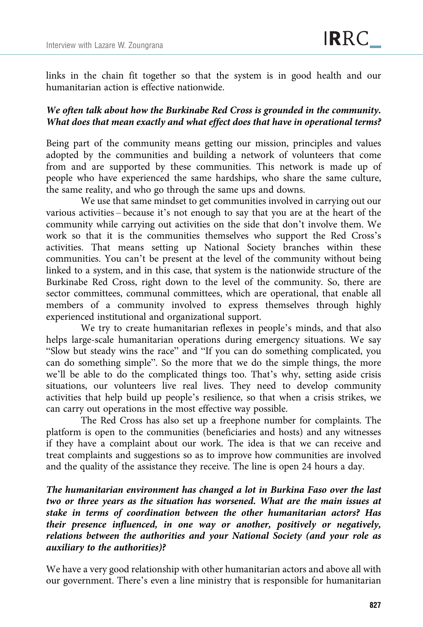links in the chain fit together so that the system is in good health and our humanitarian action is effective nationwide.

#### We often talk about how the Burkinabe Red Cross is grounded in the community. What does that mean exactly and what effect does that have in operational terms?

Being part of the community means getting our mission, principles and values adopted by the communities and building a network of volunteers that come from and are supported by these communities. This network is made up of people who have experienced the same hardships, who share the same culture, the same reality, and who go through the same ups and downs.

We use that same mindset to get communities involved in carrying out our various activities – because it's not enough to say that you are at the heart of the community while carrying out activities on the side that don't involve them. We work so that it is the communities themselves who support the Red Cross's activities. That means setting up National Society branches within these communities. You can't be present at the level of the community without being linked to a system, and in this case, that system is the nationwide structure of the Burkinabe Red Cross, right down to the level of the community. So, there are sector committees, communal committees, which are operational, that enable all members of a community involved to express themselves through highly experienced institutional and organizational support.

We try to create humanitarian reflexes in people's minds, and that also helps large-scale humanitarian operations during emergency situations. We say "Slow but steady wins the race" and "If you can do something complicated, you can do something simple". So the more that we do the simple things, the more we'll be able to do the complicated things too. That's why, setting aside crisis situations, our volunteers live real lives. They need to develop community activities that help build up people's resilience, so that when a crisis strikes, we can carry out operations in the most effective way possible.

The Red Cross has also set up a freephone number for complaints. The platform is open to the communities (beneficiaries and hosts) and any witnesses if they have a complaint about our work. The idea is that we can receive and treat complaints and suggestions so as to improve how communities are involved and the quality of the assistance they receive. The line is open 24 hours a day.

The humanitarian environment has changed a lot in Burkina Faso over the last two or three years as the situation has worsened. What are the main issues at stake in terms of coordination between the other humanitarian actors? Has their presence influenced, in one way or another, positively or negatively, relations between the authorities and your National Society (and your role as auxiliary to the authorities)?

We have a very good relationship with other humanitarian actors and above all with our government. There's even a line ministry that is responsible for humanitarian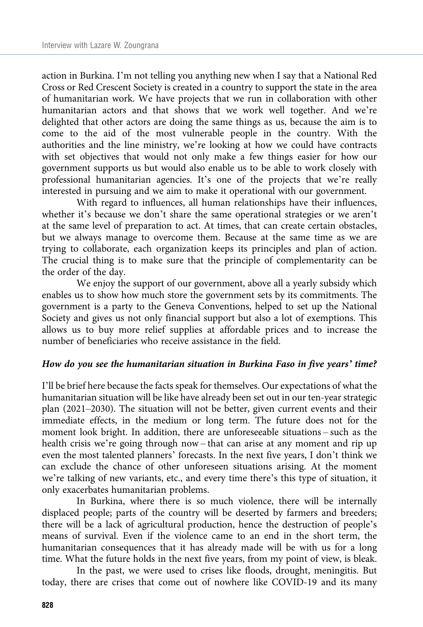action in Burkina. I'm not telling you anything new when I say that a National Red Cross or Red Crescent Society is created in a country to support the state in the area of humanitarian work. We have projects that we run in collaboration with other humanitarian actors and that shows that we work well together. And we're delighted that other actors are doing the same things as us, because the aim is to come to the aid of the most vulnerable people in the country. With the authorities and the line ministry, we're looking at how we could have contracts with set objectives that would not only make a few things easier for how our government supports us but would also enable us to be able to work closely with professional humanitarian agencies. It's one of the projects that we're really interested in pursuing and we aim to make it operational with our government.

With regard to influences, all human relationships have their influences, whether it's because we don't share the same operational strategies or we aren't at the same level of preparation to act. At times, that can create certain obstacles, but we always manage to overcome them. Because at the same time as we are trying to collaborate, each organization keeps its principles and plan of action. The crucial thing is to make sure that the principle of complementarity can be the order of the day.

We enjoy the support of our government, above all a yearly subsidy which enables us to show how much store the government sets by its commitments. The government is a party to the Geneva Conventions, helped to set up the National Society and gives us not only financial support but also a lot of exemptions. This allows us to buy more relief supplies at affordable prices and to increase the number of beneficiaries who receive assistance in the field.

#### How do you see the humanitarian situation in Burkina Faso in five years' time?

I'll be brief here because the facts speak for themselves. Our expectations of what the humanitarian situation will be like have already been set out in our ten-year strategic plan (2021–2030). The situation will not be better, given current events and their immediate effects, in the medium or long term. The future does not for the moment look bright. In addition, there are unforeseeable situations – such as the health crisis we're going through now – that can arise at any moment and rip up even the most talented planners' forecasts. In the next five years, I don't think we can exclude the chance of other unforeseen situations arising. At the moment we're talking of new variants, etc., and every time there's this type of situation, it only exacerbates humanitarian problems.

In Burkina, where there is so much violence, there will be internally displaced people; parts of the country will be deserted by farmers and breeders; there will be a lack of agricultural production, hence the destruction of people's means of survival. Even if the violence came to an end in the short term, the humanitarian consequences that it has already made will be with us for a long time. What the future holds in the next five years, from my point of view, is bleak.

In the past, we were used to crises like floods, drought, meningitis. But today, there are crises that come out of nowhere like COVID-19 and its many